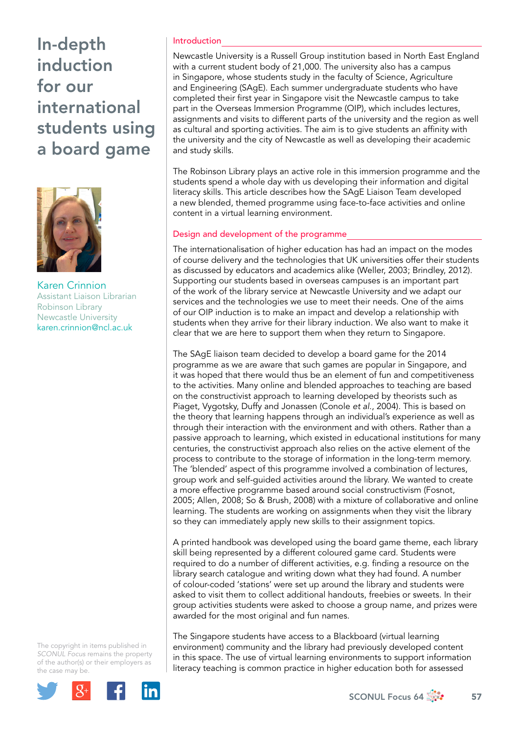# In-depth induction for our international students using a board game



Karen Crinnion Assistant Liaison Librarian Robinson Library Newcastle University karen.crinnion@ncl.ac.uk

The copyright in items published in *SCONUL Focus* remains the property of the author(s) or their employers as the case m[ay be.](http://plus.google.com/share?url=http://www.sconul.ac.uk/page/focus-64)



### Introduction

Newcastle University is a Russell Group institution based in North East England with a current student body of 21,000. The university also has a campus in Singapore, whose students study in the faculty of Science, Agriculture and Engineering (SAgE). Each summer undergraduate students who have completed their first year in Singapore visit the Newcastle campus to take part in the Overseas Immersion Programme (OIP), which includes lectures, assignments and visits to different parts of the university and the region as well as cultural and sporting activities. The aim is to give students an affinity with the university and the city of Newcastle as well as developing their academic and study skills.

The Robinson Library plays an active role in this immersion programme and the students spend a whole day with us developing their information and digital literacy skills. This article describes how the SAgE Liaison Team developed a new blended, themed programme using face-to-face activities and online content in a virtual learning environment.

### Design and development of the programme

The internationalisation of higher education has had an impact on the modes of course delivery and the technologies that UK universities offer their students as discussed by educators and academics alike (Weller, 2003; Brindley, 2012). Supporting our students based in overseas campuses is an important part of the work of the library service at Newcastle University and we adapt our services and the technologies we use to meet their needs. One of the aims of our OIP induction is to make an impact and develop a relationship with students when they arrive for their library induction. We also want to make it clear that we are here to support them when they return to Singapore.

The SAgE liaison team decided to develop a board game for the 2014 programme as we are aware that such games are popular in Singapore, and it was hoped that there would thus be an element of fun and competitiveness to the activities. Many online and blended approaches to teaching are based on the constructivist approach to learning developed by theorists such as Piaget, Vygotsky, Duffy and Jonassen (Conole *et al*., 2004). This is based on the theory that learning happens through an individual's experience as well as through their interaction with the environment and with others. Rather than a passive approach to learning, which existed in educational institutions for many centuries, the constructivist approach also relies on the active element of the process to contribute to the storage of information in the long-term memory. The 'blended' aspect of this programme involved a combination of lectures, group work and self-guided activities around the library. We wanted to create a more effective programme based around social constructivism (Fosnot, 2005; Allen, 2008; So & Brush, 2008) with a mixture of collaborative and online learning. The students are working on assignments when they visit the library so they can immediately apply new skills to their assignment topics.

A printed handbook was developed using the board game theme, each library skill being represented by a different coloured game card. Students were required to do a number of different activities, e.g. finding a resource on the library search catalogue and writing down what they had found. A number of colour-coded 'stations' were set up around the library and students were asked to visit them to collect additional handouts, freebies or sweets. In their group activities students were asked to choose a group name, and prizes were awarded for the most original and fun names.

The Singapore students have access to a Blackboard (virtual learning environment) community and the library had previously developed content in this space. The use of virtual learning environments to support information literacy teaching is common practice in higher education both for assessed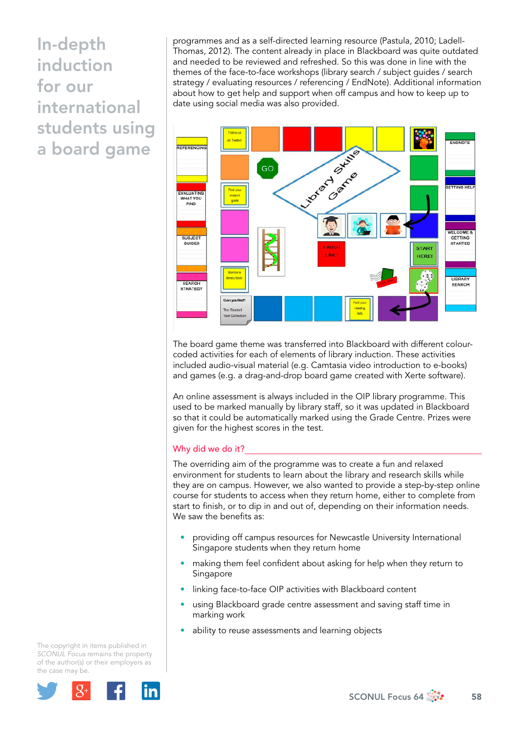In-depth induction for our international students using a board game

programmes and as a self-directed learning resource (Pastula, 2010; Ladell-Thomas, 2012). The content already in place in Blackboard was quite outdated and needed to be reviewed and refreshed. So this was done in line with the themes of the face-to-face workshops (library search / subject guides / search strategy / evaluating resources / referencing / EndNote). Additional information about how to get help and support when off campus and how to keep up to date using social media was also provided.



The board game theme was transferred into Blackboard with different colourcoded activities for each of elements of library induction. These activities included audio-visual material (e.g. Camtasia video introduction to e-books) and games (e.g. a drag-and-drop board game created with Xerte software).

An online assessment is always included in the OIP library programme. This used to be marked manually by library staff, so it was updated in Blackboard so that it could be automatically marked using the Grade Centre. Prizes were given for the highest scores in the test.

### Why did we do it?

The overriding aim of the programme was to create a fun and relaxed environment for students to learn about the library and research skills while they are on campus. However, we also wanted to provide a step-by-step online course for students to access when they return home, either to complete from start to finish, or to dip in and out of, depending on their information needs. We saw the benefits as:

- providing off campus resources for Newcastle University International Singapore students when they return home
- making them feel confident about asking for help when they return to Singapore
- linking face-to-face OIP activities with Blackboard content
- using Blackboard grade centre assessment and saving staff time in marking work
- ability to reuse assessments and learning objects

The copyright in items published in *SCONUL Focus* remains the property of the author(s) or their employers as the case m[ay be.](http://plus.google.com/share?url=http://www.sconul.ac.uk/page/focus-64)